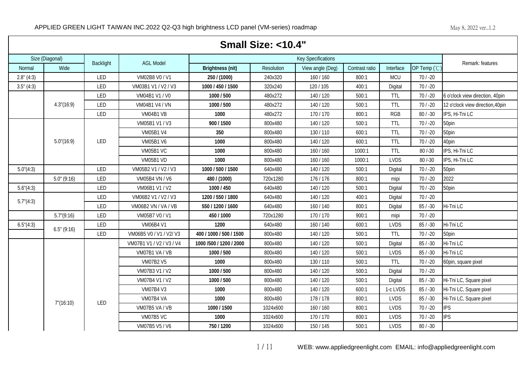|                    | Small Size: <10.4"  |           |                          |                          |            |                           |                |             |              |                                  |  |  |  |
|--------------------|---------------------|-----------|--------------------------|--------------------------|------------|---------------------------|----------------|-------------|--------------|----------------------------------|--|--|--|
|                    | Size (Diagonal)     | Backlight | <b>AGL Model</b>         |                          |            | <b>Key Specifications</b> |                |             |              | Remark: features                 |  |  |  |
| <b>Normal</b>      | Wide                |           |                          | <b>Brightness (nit)</b>  | Resolution | View angle (Deg)          | Contrast ratio | Interface   | OP Temp (°C) |                                  |  |  |  |
| 2.8" (4:3)         |                     | LED       | VM02B8 V0 / V1           | 250 / (1000)             | 240x320    | 160/160                   | 800:1          | <b>MCU</b>  | $70/ -20$    |                                  |  |  |  |
| 3.5" (4:3)         |                     | LED       | VM03B1 V1 / V2 / V3      | 1000 / 450 / 1500        | 320x240    | 120 / 105                 | 400:1          | Digital     | $70/ -20$    |                                  |  |  |  |
|                    |                     | LED       | VM04B1 V1 / V0           | 1000 / 500               | 480x272    | 140/120                   | 500:1          | <b>TTL</b>  | $70/ -20$    | 6 o'clock view direction, 40pin  |  |  |  |
|                    | 4.3''(16:9)         | LED       | VM04B1 V4 / VN           | 1000 / 500               | 480x272    | 140/120                   | 500:1          | <b>TTL</b>  | $70/ -20$    | 12 o'clock view direction, 40pin |  |  |  |
|                    |                     | LED       | VM04B1 VB                | 1000                     | 480x272    | 170/170                   | 800:1          | <b>RGB</b>  | $80 / -30$   | IPS, Hi-Tni LC                   |  |  |  |
|                    |                     |           | VM05B1 V1 / V3           | 900 / 1500               | 800x480    | 140/120                   | 500:1          | <b>TTL</b>  | $70/ -20$    | 50pin                            |  |  |  |
|                    |                     |           | <b>VM05B1 V4</b>         | 350                      | 800x480    | 130/110                   | 600:1          | <b>TTL</b>  | $70/ -20$    | 50pin                            |  |  |  |
|                    | $5.0^{\circ}(16.9)$ | LED       | <b>VM05B1 V6</b>         | 1000                     | 800x480    | 140/120                   | 600:1          | <b>TTL</b>  | $70/ -20$    | 40pin                            |  |  |  |
|                    |                     |           | <b>VM05B1 VC</b>         | 1000                     | 800x480    | 160/160                   | 1000:1         | TTL         | $80 / -30$   | IPS, Hi-Tni LC                   |  |  |  |
|                    |                     |           | VM05B1 VD                | 1000                     | 800x480    | 160/160                   | 1000:1         | <b>LVDS</b> | $80 / -30$   | IPS, Hi-Tni LC                   |  |  |  |
| $5.0^{\circ}(4:3)$ |                     | LED       | VM05B2 V1 / V2 / V3      | 1000 / 500 / 1500        | 640x480    | 140/120                   | 500:1          | Digital     | $70/ -20$    | 50pin                            |  |  |  |
|                    | $5.0$ " (9:16)      | LED       | VM05B4 VN / V6           | 480 / (1000)             | 720x1280   | 176/176                   | 800:1          | mipi        | $70/ -20$    | 2022                             |  |  |  |
| $5.6^{\circ}(4:3)$ |                     | LED       | VM06B1 V1 / V2           | 1000 / 450               | 640x480    | 140/120                   | 500:1          | Digital     | $70/ -20$    | 50pin                            |  |  |  |
| $5.7^{\circ}(4:3)$ |                     | LED       | VM06B2 V1 / V2 / V3      | 1200 / 550 / 1800        | 640x480    | 140/120                   | 400:1          | Digital     | $70/ -20$    |                                  |  |  |  |
|                    |                     | LED       | VM06B2 VN / VA / VB      | 550 / 1200 / 1600        | 640x480    | 160/140                   | 800:1          | Digital     | $85 / -30$   | Hi-Tni LC                        |  |  |  |
|                    | $5.7^{\circ}(9:16)$ | LED       | VM05B7 V0 / V1           | 450 / 1000               | 720x1280   | 170/170                   | 900:1          | mipi        | $70/ -20$    |                                  |  |  |  |
| $6.5^{\circ}(4:3)$ | 6.5" (9:16)         | LED       | VM06B4 V1                | 1200                     | 640x480    | 160/140                   | 600:1          | <b>LVDS</b> | $85 / -30$   | Hi-Tni LC                        |  |  |  |
|                    |                     | LED       | VM06B5 V0 / V1 / V2/ V3  | 400 / 1000 / 500 / 1500  | 800x480    | 140/120                   | 500:1          | <b>TTL</b>  | $70/ -20$    | 50pin                            |  |  |  |
|                    |                     |           | VM07B1 V1 / V2 / V3 / V4 | 1000 / 500 / 1200 / 2000 | 800x480    | 140/120                   | 500:1          | Digital     | $85/ - 30$   | Hi-Tni LC                        |  |  |  |
|                    |                     |           | VM07B1 VA / VB           | 1000 / 500               | 800x480    | 140/120                   | 500:1          | <b>LVDS</b> | $85 / -30$   | Hi-Tni LC                        |  |  |  |
|                    |                     |           | <b>VM07B2 V5</b>         | 1000                     | 800x480    | 130/110                   | 500:1          | <b>TTL</b>  | $70/ -20$    | 60pin, square pixel              |  |  |  |
|                    |                     |           | VM07B3 V1 / V2           | 1000 / 500               | 800x480    | 140/120                   | 500:1          | Digital     | $70/ -20$    |                                  |  |  |  |
|                    |                     |           | VM07B4 V1 / V2           | 1000 / 500               | 800x480    | 140/120                   | 500:1          | Digital     | $85 / -30$   | Hi-Tni LC, Square pixel          |  |  |  |
|                    |                     |           | VM07B4 V3                | 1000                     | 800x480    | 140/120                   | 600:1          | 1-c LVDS    | $85/ - 30$   | Hi-Tni LC, Square pixel          |  |  |  |
|                    | $7^{\circ}(16:10)$  | LED       | VM07B4 VA                | 1000                     | 800x480    | 178/178                   | 800:1          | <b>LVDS</b> | $85 / -30$   | Hi-Tni LC, Square pixel          |  |  |  |
|                    |                     |           | VM07B5 VA / VB           | 1000 / 1500              | 1024x600   | 160 / 160                 | 800:1          | <b>LVDS</b> | $70/ -20$    | <b>IPS</b>                       |  |  |  |
|                    |                     |           | VM07B5 VC                | 1000                     | 1024x600   | 170/170                   | 800:1          | <b>LVDS</b> | $70/ -20$    | <b>IPS</b>                       |  |  |  |
|                    |                     |           | VM07B5 V5 / V6           | 750 / 1200               | 1024x600   | 150/145                   | 500:1          | <b>LVDS</b> | $80 / -30$   |                                  |  |  |  |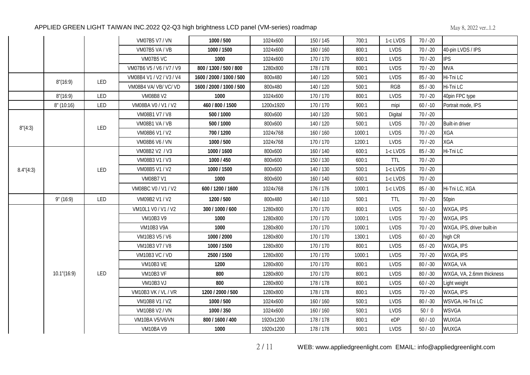|                    |             |     | VM07B5 V7 / VN           | 1000 / 500               | 1024x600  | 150/145   | 700:1  | 1-c LVDS    | $70/ -20$  |                            |
|--------------------|-------------|-----|--------------------------|--------------------------|-----------|-----------|--------|-------------|------------|----------------------------|
|                    |             |     | VM07B5 VA / VB           | 1000 / 1500              | 1024x600  | 160/160   | 800:1  | <b>LVDS</b> | $70/ -20$  | 40-pin LVDS / IPS          |
|                    |             |     | VM07B5 VC                | 1000                     | 1024x600  | 170/170   | 800:1  | <b>LVDS</b> | $70/ -20$  | <b>IPS</b>                 |
|                    |             |     | VM07B6 V5 / V6 / V7 / V9 | 800 / 1300 / 500 / 800   | 1280x800  | 178/178   | 800:1  | <b>LVDS</b> | $70/ -20$  | <b>MVA</b>                 |
|                    | 8''(16:9)   | LED | VM08B4 V1 / V2 / V3 / V4 | 1600 / 2000 / 1000 / 500 | 800x480   | 140/120   | 500:1  | <b>LVDS</b> | $85 / -30$ | Hi-Tni LC                  |
|                    |             |     | VM08B4 VA/VB/VC/VD       | 1600 / 2000 / 1000 / 500 | 800x480   | 140/120   | 500:1  | <b>RGB</b>  | $85 / -30$ | Hi-Tni LC                  |
|                    | 8'(16:9)    | LED | <b>VM08B8 V2</b>         | 1000                     | 1024x600  | 170/170   | 800:1  | <b>LVDS</b> | $70/ -20$  | 40pin FPC type             |
|                    | 8''(10:16)  | LED | VM08BA V0 / V1 / V2      | 460 / 800 / 1500         | 1200x1920 | 170/170   | 900:1  | mipi        | $60/ -10$  | Portrait mode, IPS         |
|                    |             |     | VM08B1 V7 / V8           | 500 / 1000               | 800x600   | 140/120   | 500:1  | Digital     | $70/ -20$  |                            |
| 8''(4:3)           |             | LED | VM08B1 VA / VB           | 500 / 1000               | 800x600   | 140/120   | 500:1  | <b>LVDS</b> | $70/ -20$  | Built-in driver            |
|                    |             |     | VM08B6 V1 / V2           | 700 / 1200               | 1024x768  | 160 / 160 | 1000:1 | <b>LVDS</b> | $70/ -20$  | <b>XGA</b>                 |
|                    |             |     | VM08B6 V6 / VN           | 1000 / 500               | 1024x768  | 170/170   | 1200:1 | <b>LVDS</b> | $70/ -20$  | <b>XGA</b>                 |
|                    |             |     | VM08B2 V2 / V3           | 1000 / 1600              | 800x600   | 160/140   | 600:1  | 1-c LVDS    | $85/ - 30$ | Hi-Tni LC                  |
|                    |             |     | VM08B3 V1 / V3           | 1000 / 450               | 800x600   | 150/130   | 600:1  | <b>TTL</b>  | $70/ -20$  |                            |
| $8.4^{\circ}(4:3)$ |             | LED | VM08B5 V1 / V2           | 1000 / 1500              | 800x600   | 140/130   | 500:1  | 1-c LVDS    | $70/ -20$  |                            |
|                    |             |     | <b>VM08B7 V1</b>         | 1000                     | 800x600   | 160/140   | 600:1  | 1-c LVDS    | $70 / -20$ |                            |
|                    |             |     | VM08BC V0 / V1 / V2      | 600 / 1200 / 1600        | 1024x768  | 176/176   | 1000:1 | 1-c LVDS    | $85 / -30$ | Hi-Tni LC, XGA             |
|                    | 9" (16:9)   | LED | VM09B2 V1 / V2           | 1200 / 500               | 800x480   | 140/110   | 500:1  | <b>TTL</b>  | $70/ -20$  | 50pin                      |
|                    |             |     | VM10L1 V0 / V1 / V2      | 300 / 1000 / 600         | 1280x800  | 170/170   | 800:1  | <b>LVDS</b> | $50/ -10$  | WXGA, IPS                  |
|                    |             |     | <b>VM10B3 V9</b>         | 1000                     | 1280x800  | 170/170   | 1000:1 | <b>LVDS</b> | $70/ -20$  | WXGA, IPS                  |
|                    |             |     | <b>VM10B3 V9A</b>        | 1000                     | 1280x800  | 170/170   | 1000:1 | <b>LVDS</b> | $70/ -20$  | WXGA, IPS, driver built-in |
|                    |             |     | VM10B3 V5 / V6           | 1000 / 2000              | 1280x800  | 170/170   | 1300:1 | <b>LVDS</b> | $60 / -20$ | high CR                    |
|                    |             |     | VM10B3 V7 / V8           | 1000 / 1500              | 1280x800  | 170/170   | 800:1  | <b>LVDS</b> | $65/ -20$  | WXGA, IPS                  |
|                    |             |     | <b>VM10B3 VC / VD</b>    | 2500 / 1500              | 1280x800  | 170/170   | 1000:1 | <b>LVDS</b> | $70/ -20$  | WXGA, IPS                  |
|                    |             |     | VM10B3 VE                | 1200                     | 1280x800  | 170/170   | 800:1  | <b>LVDS</b> | $80 / -30$ | WXGA, VA                   |
|                    | 10.1"(16:9) | LED | VM10B3 VF                | 800                      | 1280x800  | 170/170   | 800:1  | <b>LVDS</b> | $80 / -30$ | WXGA, VA, 2.6mm thickness  |
|                    |             |     | VM10B3 VJ                | 800                      | 1280x800  | 178/178   | 800:1  | <b>LVDS</b> | $60/ -20$  | Light weight               |
|                    |             |     | VM10B3 VK / VL / VR      | 1200 / 2000 / 500        | 1280x800  | 178/178   | 800:1  | <b>LVDS</b> | $70/ -20$  | WXGA, IPS                  |
|                    |             |     | VM10B8 V1 / VZ           | 1000 / 500               | 1024x600  | 160/160   | 500:1  | <b>LVDS</b> | $80 / -30$ | WSVGA, Hi-Tni LC           |
|                    |             |     | <b>VM10B8 V2 / VN</b>    | 1000 / 350               | 1024x600  | 160/160   | 500:1  | <b>LVDS</b> | 50/0       | <b>WSVGA</b>               |
|                    |             |     | VM10BA V5/V6/VN          | 800 / 1600 / 400         | 1920x1200 | 178/178   | 800:1  | eDP         | $60 / -10$ | WUXGA                      |
|                    |             |     | VM10BA V9                | 1000                     | 1920x1200 | 178/178   | 900:1  | <b>LVDS</b> | $50/ -10$  | <b>WUXGA</b>               |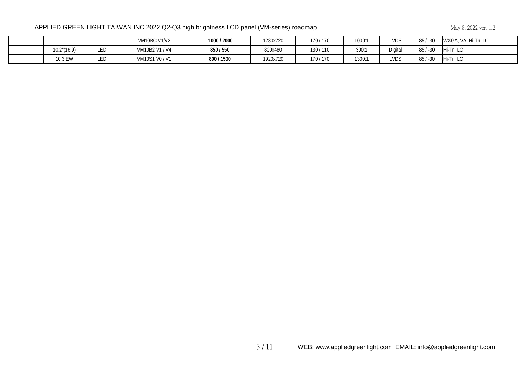|             |     | <b>VM10BC V1/V2</b> | 1000 / 2000 | 1280x720 | 170/170 | 1000:1 | <b>LVDS</b> | $-30$<br>85              | , VA, Hi-Tni LC<br>WXGA, |
|-------------|-----|---------------------|-------------|----------|---------|--------|-------------|--------------------------|--------------------------|
| 10.2"(16:9) | LED | VM10B2 V1 / V4      | 850 / 550   | 800x480  | 130/110 | 300:1  | Digital     | 85 <sub>1</sub><br>$-30$ | Hi-Tni LC                |
| 10.3 EW     | LED | VM10S1 V0 / V1      | 800 / 1500  | 1920x720 | 170/170 | 1300:1 | <b>LVDS</b> | $-30$                    | Hi-Tni LC                |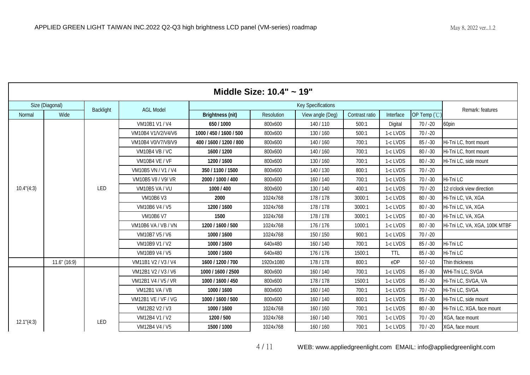|             | Middle Size: $10.4" \sim 19"$ |           |                            |                         |            |                           |                |            |              |                               |  |  |  |
|-------------|-------------------------------|-----------|----------------------------|-------------------------|------------|---------------------------|----------------|------------|--------------|-------------------------------|--|--|--|
|             | Size (Diagonal)               | Backlight | <b>AGL Model</b>           |                         |            | <b>Key Specifications</b> |                |            |              | Remark: features              |  |  |  |
| Normal      | Wide                          |           |                            | <b>Brightness (nit)</b> | Resolution | View angle (Deg)          | Contrast ratio | Interface  | OP Temp (°C) |                               |  |  |  |
|             |                               |           | VM10B1 V1 / V4             | 650 / 1000              | 800x600    | 140/110                   | 500:1          | Digital    | $70/ -20$    | 60pin                         |  |  |  |
|             |                               |           | VM10B4 V1/V2/V4/V6         | 1000 / 450 / 1600 / 500 | 800x600    | 130/160                   | 500:1          | 1-c LVDS   | $70/ -20$    |                               |  |  |  |
|             |                               |           | VM10B4 V0/V7/V8/V9         | 400 / 1600 / 1200 / 800 | 800x600    | 140/160                   | 700:1          | 1-c LVDS   | $85/ - 30$   | Hi-Tni LC, front mount        |  |  |  |
|             |                               |           | VM10B4 VB / VC             | 1600 / 1200             | 800x600    | 140/160                   | 700:1          | 1-c LVDS   | $80/ -30$    | Hi-Tni LC, front mount        |  |  |  |
|             |                               |           | <b>VM10B4 VE / VF</b>      | 1200 / 1600             | 800x600    | 130/160                   | 700:1          | 1-c LVDS   | $80 / -30$   | Hi-Tni LC, side mount         |  |  |  |
|             |                               |           | VM10B5 VN / V1 / V4        | 350 / 1100 / 1500       | 800x600    | 140/130                   | 800:1          | 1-c LVDS   | $70/ -20$    |                               |  |  |  |
|             |                               |           | VM10B5 V8 / V9/ VR         | 2000 / 1000 / 400       | 800x600    | 160/140                   | 700:1          | 1-c LVDS   | $70/ -30$    | Hi-Tni LC                     |  |  |  |
| 10.4''(4:3) |                               | LED       | VM10B5 VA / VU             | 1000 / 400              | 800x600    | 130/140                   | 400:1          | 1-c LVDS   | $70/ -20$    | 12 o'clock view direction     |  |  |  |
|             |                               |           | VM10B6 V3                  | 2000                    | 1024x768   | 178/178                   | 3000:1         | 1-c LVDS   | $80 / -30$   | Hi-Tni LC, VA, XGA            |  |  |  |
|             |                               |           | VM10B6 V4 / V5             | 1200 / 1600             | 1024x768   | 178/178                   | 3000:1         | 1-c LVDS   | $80 / -30$   | Hi-Tni LC, VA, XGA            |  |  |  |
|             |                               |           | <b>VM10B6 V7</b>           | 1500                    | 1024x768   | 178/178                   | 3000:1         | 1-c LVDS   | $80 / -30$   | Hi-Tni LC, VA, XGA            |  |  |  |
|             |                               |           | VM10B6 VA / VB / VN        | 1200 / 1600 / 500       | 1024x768   | 176/176                   | 1000:1         | 1-c LVDS   | $80 / -30$   | Hi-Tni LC, VA, XGA, 100K MTBF |  |  |  |
|             |                               |           | VM10B7 V5 / V6             | 1000 / 1600             | 1024x768   | 150 / 150                 | 900:1          | 1-c LVDS   | $70/ -20$    |                               |  |  |  |
|             |                               |           | VM10B9 V1 / V2             | 1000 / 1600             | 640x480    | 160/140                   | 700:1          | 1-c LVDS   | $85 / -30$   | Hi-Tni LC                     |  |  |  |
|             |                               |           | VM10B9 V4 / V5             | 1000 / 1600             | 640x480    | 176/176                   | 1500:1         | <b>TTL</b> | $85 / -30$   | Hi-Tni LC                     |  |  |  |
|             | $11.6$ " $(16.9)$             |           | VM11B1 V2 / V3 / V4        | 1600 / 1200 / 700       | 1920x1080  | 178/178                   | 800:1          | eDP        | $50/ -10$    | Thin thickness                |  |  |  |
|             |                               |           | VM12B1 V2 / V3 / V6        | 1000 / 1600 / 2500      | 800x600    | 160/140                   | 700:1          | 1-c LVDS   | $85 / -30$   | WHi-Tni LC, SVGA              |  |  |  |
|             |                               |           | VM12B1 V4 / V5 / VR        | 1000 / 1600 / 450       | 800x600    | 178/178                   | 1500:1         | 1-c LVDS   | $85 / -30$   | Hi-Tni LC, SVGA, VA           |  |  |  |
|             |                               |           | VM12B1 VA / VB             | 1000 / 1600             | 800x600    | 160/140                   | 700:1          | 1-c LVDS   | $70/ -20$    | Hi-Tni LC, SVGA               |  |  |  |
|             |                               |           | <b>VM12B1 VE / VF / VG</b> | 1000 / 1600 / 500       | 800x600    | 160/140                   | 800:1          | 1-c LVDS   | $85/ - 30$   | Hi-Tni LC, side mount         |  |  |  |
|             |                               |           | VM12B2 V2 / V3             | 1000 / 1600             | 1024x768   | 160/160                   | 700:1          | 1-c LVDS   | $80/ - 30$   | Hi-Tni LC, XGA, face mount    |  |  |  |
| 12.1''(4:3) |                               | LED       | VM12B4 V1 / V2             | 1200 / 500              | 1024x768   | 160/140                   | 700:1          | 1-c LVDS   | $70/ -20$    | XGA, face mount               |  |  |  |
|             |                               |           | VM12B4 V4 / V5             | 1500 / 1000             | 1024x768   | 160/160                   | 700:1          | 1-c LVDS   | $70/ -20$    | XGA, face mount               |  |  |  |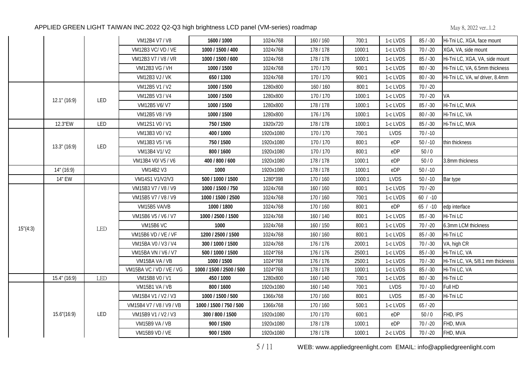|           |                 |     | VM12B4 V7 / V8           | 1600 / 1000              | 1024x768  | 160/160   | 700:1  | 1-c LVDS    | $85/ - 30$ | Hi-Tni LC, XGA, face mount        |
|-----------|-----------------|-----|--------------------------|--------------------------|-----------|-----------|--------|-------------|------------|-----------------------------------|
|           |                 |     | VM12B3 VC/VD/VE          | 1000 / 1500 / 400        | 1024x768  | 178 / 178 | 1000:1 | 1-c LVDS    | $70/ -20$  | XGA, VA, side mount               |
|           |                 |     | VM12B3 V7 / V8 / VR      | 1000 / 1500 / 600        | 1024x768  | 178/178   | 1000:1 | 1-c LVDS    | $85/ - 30$ | Hi-Tni LC, XGA, VA, side mount    |
|           |                 |     | <b>VM12B3 VG / VH</b>    | 1000 / 1500              | 1024x768  | 170/170   | 900:1  | 1-c LVDS    | $80 / -30$ | Hi-Tni LC, VA, 6.5mm thickness    |
|           |                 |     | <b>VM12B3 VJ / VK</b>    | 650 / 1300               | 1024x768  | 170/170   | 900:1  | 1-c LVDS    | $80 / -30$ | Hi-Tni LC, VA, w/ driver, 8.4mm   |
|           |                 |     | VM12B5 V1 / V2           | 1000 / 1500              | 1280x800  | 160 / 160 | 800:1  | 1-c LVDS    | $70/ -20$  |                                   |
|           |                 |     | VM12B5 V3 / V4           | 1000 / 1500              | 1280x800  | 170/170   | 1000:1 | 1-c LVDS    | $70/ -20$  | VA                                |
|           | $12.1$ " (16:9) | LED | VM12B5 V6/V7             | 1000 / 1500              | 1280x800  | 178/178   | 1000:1 | 1-c LVDS    | $85 / -30$ | Hi-Tni LC, MVA                    |
|           |                 |     | VM12B5 V8 / V9           | 1000 / 1500              | 1280x800  | 176/176   | 1000:1 | 1-c LVDS    | $80 / -30$ | Hi-Tni LC, VA                     |
|           | 12.3"EW         | LED | VM12S1 V0 / V1           | 750/1500                 | 1920x720  | 178/178   | 1000:1 | 1-c LVDS    | $85/ - 30$ | Hi-Tni LC, MVA                    |
|           |                 |     | VM13B3 V0 / V2           | 400 / 1000               | 1920x1080 | 170/170   | 700:1  | <b>LVDS</b> | $70/ - 10$ |                                   |
|           |                 |     | VM13B3 V5 / V6           | 750 / 1500               | 1920x1080 | 170/170   | 800:1  | eDP         | $50/ -10$  | thin thickness                    |
|           | $13.3$ " (16:9) | LED | VM13B4 V1/V2             | 800 / 1600               | 1920x1080 | 170/170   | 800:1  | eDP         | $50/0$     |                                   |
|           |                 |     | VM13B4 V0/ V5 / V6       | 400 / 800 / 600          | 1920x1080 | 178/178   | 1000:1 | eDP         | 50/0       | 3.8mm thickness                   |
|           | 14" (16:9)      |     | VM14B2 V3                | 1000                     | 1920x1080 | 178/178   | 1000:1 | eDP         | $50/ - 10$ |                                   |
|           | 14" EW          |     | VM14S1 V1/V2/V3          | 500 / 1000 / 1500        | 1280*398  | 170/160   | 1000:1 | <b>LVDS</b> | $50 / -10$ | Bar type                          |
|           |                 |     | VM15B3 V7 / V8 / V9      | 1000 / 1500 / 750        | 1024x768  | 160/160   | 800:1  | 1-c LVDS    | $70/ -20$  |                                   |
|           |                 |     | VM15B5 V7 / V8 / V9      | 1000 / 1500 / 2500       | 1024x768  | 170/160   | 700:1  | 1-c LVDS    | $60 / -10$ |                                   |
|           |                 |     | VM15B5 VA/VB             | 1000 / 1800              | 1024x768  | 170/160   | 800:1  | eDP         | $65 / -10$ | edp interface                     |
|           |                 |     | VM15B6 V5 / V6 / V7      | 1000 / 2500 / 1500       | 1024x768  | 160/140   | 800:1  | 1-c LVDS    | $85/ - 30$ | Hi-Tni LC                         |
| 15''(4:3) |                 | LED | <b>VM15B6 VC</b>         | 1000                     | 1024x768  | 160 / 150 | 800:1  | 1-c LVDS    | $70/ -20$  | 6.3mm LCM thickness               |
|           |                 |     | VM15B6 VD / VE / VF      | 1200 / 2500 / 1500       | 1024x768  | 160 / 160 | 800:1  | 1-c LVDS    | $85 / -30$ | Hi-Tni LC                         |
|           |                 |     | VM15BA V0 / V3 / V4      | 300 / 1000 / 1500        | 1024x768  | 176/176   | 2000:1 | 1-c LVDS    | $70/ -30$  | VA, high CR                       |
|           |                 |     | VM15BA VN / V6 / V7      | 500 / 1000 / 1500        | 1024*768  | 176/176   | 2500:1 | 1-c LVDS    | $85 / -30$ | Hi-Tni LC, VA                     |
|           |                 |     | VM15BA VA / VB           | 1000 / 1500              | 1024*768  | 176/176   | 2500:1 | 1-c LVDS    | $70/ -30$  | Hi-Tni LC, VA, 5/8.1 mm thickness |
|           |                 |     | VM15BA VC / VD / VE / VG | 1000 / 1500 / 2500 / 500 | 1024*768  | 178/178   | 1000:1 | 1-c LVDS    | $85 / -30$ | Hi-Tni LC, VA                     |
|           | 15.4" (16:9)    | LED | VM15B8 V0 / V1           | 450 / 1000               | 1280x800  | 160/140   | 700:1  | 1-c LVDS    | $80 / -30$ | Hi-Tni LC                         |
|           |                 |     | VM15B1 VA / VB           | 800 / 1600               | 1920x1080 | 160/140   | 700:1  | <b>LVDS</b> | $70/ - 10$ | Full HD                           |
|           |                 |     | VM15B4 V1 / V2 / V3      | 1000 / 1500 / 500        | 1366x768  | 170/160   | 800:1  | <b>LVDS</b> | $85/ - 30$ | Hi-Tni LC                         |
|           |                 |     | VM15B4 V7 / V8 / V9 / VB | 1000 / 1500 / 750 / 500  | 1366x768  | 170/160   | 500:1  | 1-c LVDS    | $65 / -20$ |                                   |
|           | 15.6''(16:9)    | LED | VM15B9 V1 / V2 / V3      | 300 / 800 / 1500         | 1920x1080 | 170/170   | 600:1  | eDP         | 50/0       | FHD, IPS                          |
|           |                 |     | VM15B9 VA / VB           | 900 / 1500               | 1920x1080 | 178/178   | 1000:1 | eDP         | $70/ -20$  | FHD, MVA                          |
|           |                 |     | <b>VM15B9 VD / VE</b>    | 900 / 1500               | 1920x1080 | 178/178   | 1000:1 | 2-c LVDS    | $70/ -20$  | FHD, MVA                          |

5 / 11 WEB: www.appliedgreenlight.com EMAIL: info@appliedgreenlight.com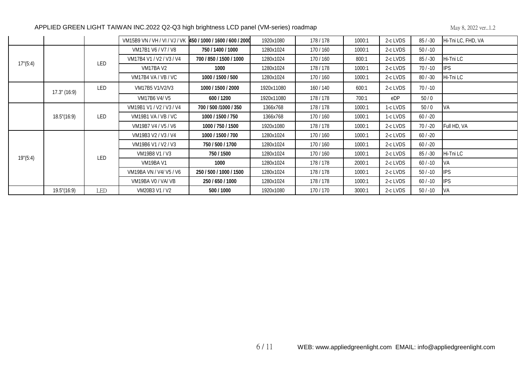|                   |                   |     | VM15B9 VN / VH / VI / VJ / VK 450 / 1000 / 1600 / 600 / 2000 |                         | 1920x1080  | 178/178 | 1000:1 | 2-c LVDS | $85/ - 30$ | Hi-Tni LC, FHD, VA |
|-------------------|-------------------|-----|--------------------------------------------------------------|-------------------------|------------|---------|--------|----------|------------|--------------------|
|                   |                   |     | VM17B1 V6 / V7 / V8                                          | 750 / 1400 / 1000       | 1280x1024  | 170/160 | 1000:1 | 2-c LVDS | $50/ -10$  |                    |
| 17" (5:4)         |                   | LED | VM17B4 V1 / V2 / V3 / V4                                     | 700 / 850 / 1500 / 1000 | 1280x1024  | 170/160 | 800:1  | 2-c LVDS | $85/ - 30$ | Hi-Tni LC          |
|                   |                   |     | VM17BA V2                                                    | 1000                    | 1280x1024  | 178/178 | 1000:1 | 2-c LVDS | $70/ -10$  | <b>IPS</b>         |
|                   |                   |     | VM17B4 VA / VB / VC                                          | 1000 / 1500 / 500       | 1280x1024  | 170/160 | 1000:1 | 2-c LVDS | $80/ - 30$ | Hi-Tni LC          |
|                   | $17.3$ " $(16.9)$ | LED | VM17B5 V1/V2/V3                                              | 1000 / 1500 / 2000      | 1920x11080 | 160/140 | 600:1  | 2-c LVDS | $70/ -10$  |                    |
|                   |                   |     | VM17B6 V4/V5                                                 | 600 / 1200              | 1920x11080 | 178/178 | 700:1  | eDP      | 50/0       |                    |
|                   |                   |     | VM19B1 V1 / V2 / V3 / V4                                     | 700 / 500 / 1000 / 350  | 1366x768   | 178/178 | 1000:1 | 1-c LVDS | 50/0       | <b>IVA</b>         |
|                   | 18.5''(16.9)      | LED | VM19B1 VA / VB / VC                                          | 1000 / 1500 / 750       | 1366x768   | 170/160 | 1000:1 | 1-c LVDS | $60/ -20$  |                    |
|                   |                   |     | VM19B7 V4 / V5 / V6                                          | 1000 / 750 / 1500       | 1920x1080  | 178/178 | 1000:1 | 2-c LVDS | $70/ -20$  | Full HD, VA        |
|                   |                   |     | VM19B3 V2 / V3 / V4                                          | 1000 / 1500 / 700       | 1280x1024  | 170/160 | 1000:1 | 2-c LVDS | $60/ -20$  |                    |
|                   |                   |     | VM19B6 V1 / V2 / V3                                          | 750 / 500 / 1700        | 1280x1024  | 170/160 | 1000:1 | 2-c LVDS | $60/ -20$  |                    |
| $19^{\circ}(5:4)$ |                   | LED | VM19B8 V1 / V3                                               | 750 / 1500              | 1280x1024  | 170/160 | 1000:1 | 2-c LVDS | $85/ - 30$ | Hi-Tni LC          |
|                   |                   |     | VM19BA V1                                                    | 1000                    | 1280x1024  | 178/178 | 2000:1 | 2-c LVDS | $60/ -10$  | IVA.               |
|                   |                   |     | VM19BA VN / V4/ V5 / V6                                      | 250 / 500 / 1000 / 1500 | 1280x1024  | 178/178 | 1000:1 | 2-c LVDS | $50/ -10$  | <b>IPS</b>         |
|                   |                   |     | VM19BA V0 / VA/ VB                                           | 250 / 650 / 1000        | 1280x1024  | 178/178 | 1000:1 | 2-c LVDS | $60/ -10$  | <b>IPS</b>         |
|                   | 19.5'(16.9)       | LED | VM20B3 V1 / V2                                               | 500 / 1000              | 1920x1080  | 170/170 | 3000:1 | 2-c LVDS | $50/ -10$  | <b>IVA</b>         |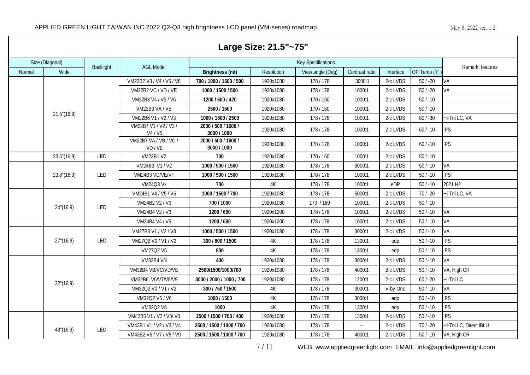|        | Large Size: 21.5"~75" |                  |                                |                                    |               |                           |                |           |             |                        |  |  |  |
|--------|-----------------------|------------------|--------------------------------|------------------------------------|---------------|---------------------------|----------------|-----------|-------------|------------------------|--|--|--|
|        | Size (Diagonal)       |                  |                                |                                    |               | <b>Key Specifications</b> |                |           |             |                        |  |  |  |
| Normal | Wide                  | <b>Backlight</b> | <b>AGL Model</b>               | <b>Brightness (nit)</b>            | Resolution    | View angle (Deg)          | Contrast ratio | Interface | OP Temp (°C | Remark: features       |  |  |  |
|        |                       |                  | VM22B2 V3 / V4 / V5 / V6       | 700 / 1000 / 1500 / 500            | 1920x1080     | 178/178                   | 3000:1         | 2-c LVDS  | $50 / -20$  | <b>VA</b>              |  |  |  |
|        |                       |                  | VM22B2 VC / VD / VE            | 1000 / 1500 / 500                  | 1920x1080     | 178/178                   | 1000:1         | 2-c LVDS  | $50 / -20$  | VA                     |  |  |  |
|        |                       |                  | VM22B3 V4 / V5 / V6            | 1200 / 600 / 420                   | 1920x1080     | 170/160                   | 1000:1         | 2-c LVDS  | $50/ -10$   |                        |  |  |  |
|        |                       |                  | VM22B3 VA / VB                 | 2500 / 1500                        | 1920x1080     | 170/160                   | 1000:1         | 2-c LVDS  | $50/ -10$   |                        |  |  |  |
|        | 21.5''(16.9)          |                  | VM22B6 V1 / V2 / V3            | 1000 / 1500 / 2500                 | 1920x1080     | 178 / 178                 | 1000:1         | 2-c LVDS  | $80 / -30$  | Hi-Tni LC, VA          |  |  |  |
|        |                       |                  | VM22B7 V1 / V2 / V3 /<br>V4/V5 | 2000 / 500 / 1600 /<br>3000 / 1000 | 1920x1080     | 178/178                   | 1000:1         | 2-c LVDS  | $60/ -10$   | <b>IPS</b>             |  |  |  |
|        |                       |                  | VM22B7 VA / VB / VC /<br>VD/VE | 2000 / 500 / 1600 /<br>3000 / 1000 | 1920x1080     | 178/178                   | 1000:1         | 2-c LVDS  | $60/ -10$   | <b>IPS</b>             |  |  |  |
|        | 23.6"(16:9)           | LED              | <b>VM23B1 V2</b>               | 700                                | 1920x1080     | 170/160                   | 1000:1         | 2-c LVDS  | $50/ -10$   |                        |  |  |  |
|        |                       |                  | VM24B3 V1 / V2                 | 1000 / 500 / 1500                  | 1920x1080     | 178 / 178                 | 3000:1         | 2-c LVDS  | $50/ -10$   | VA                     |  |  |  |
|        | 23.8"(16:9)           | LED              | VM24B3 VD/VE/VF                | 1000 / 500 / 1500                  | 1920x1080     | 178/178                   | 1000:1         | 2-c LVDS  | $50 / -10$  | <b>IPS</b>             |  |  |  |
|        |                       |                  | <b>VM24Q3 Vx</b>               | 700                                | 4K            | 178/178                   | 1000:1         | eDP       | $50/ -10$   | 2021 H <sub>2</sub>    |  |  |  |
|        |                       |                  | VM24B1 V4 / V5 / V6            | 1000 / 1500 / 700                  | 1920x1080     | 178/178                   | 5000:1         | 2-c LVDS  | $70/ -20$   | Hi-Tni LC, VA          |  |  |  |
|        | 24''(16:9)            | LED              | VM24B2 V2 / V3                 | 700 / 1000                         | 1920x1080     | 170 / 160                 | 1000:1         | 2-c LVDS  | $50/ - 10$  |                        |  |  |  |
|        |                       |                  | VM24B4 V2 / V3                 | 1200 / 600                         | 1920x1200     | 178/178                   | 1000:1         | 2-c LVDS  | $50 / -10$  | VA                     |  |  |  |
|        |                       |                  | VM24B4 V4 / V5                 | 1200 / 600                         | 1920x1200     | 178/178                   | 1000:1         | 2-c LVDS  | $50/ -10$   | VA                     |  |  |  |
|        |                       |                  | VM27B3 V1 / V2 / V3            | 1000 / 500 / 1500                  | 1920x1080     | 178/178                   | 3000:1         | 2-c LVDS  | $50/ - 10$  | VA                     |  |  |  |
|        | 27''(16:9)            | LED              | VM27Q2 V0 / V1 / V2            | 300 / 800 / 1500                   | 4K            | 178/178                   | 1300:1         | edp       | $50/ -10$   | <b>IPS</b>             |  |  |  |
|        |                       |                  | VM27Q2 V5                      | 800                                | $4K$          | 178/178                   | 1300:1         | edp       | $50 / -10$  | <b>IPS</b>             |  |  |  |
|        |                       |                  | VM32B4 VN                      | 400                                | 1920x1080     | 178/178                   | 3000:1         | 2-c LVDS  | $50/ -10$   | VA                     |  |  |  |
|        |                       |                  | VM32B4 VB/VC/VD/VE             | 2500/1500/1000/700                 | 1920x1080     | 178/178                   | 4000:1         | 2-c LVDS  | $50/ - 10$  | VA, High CR            |  |  |  |
|        | 32''(16:9)            |                  | VM32B6 V6/V7/V8/V9             | 3000 / 2000 / 1000 / 700           | 1920x1080     | 178/178                   | 1200:1         | 2-c LVDS  | $60 / -20$  | Hi-Tni LC              |  |  |  |
|        |                       |                  | VM32Q2 V0 / V1 / V2            | 300 / 750 / 1500                   | 4K            | 178/178                   | 3000:1         | V-by-One  | $50/ -10$   | VA                     |  |  |  |
|        |                       |                  | VM32Q2 V5 / V6                 | 1000 / 1500                        | $4\mathrm{K}$ | 178/178                   | 3000:1         | edp       | $50 / -10$  | <b>IPS</b>             |  |  |  |
|        |                       |                  | VM32Q2 V8                      | 1000                               | 4K            | 178/178                   | 1300:1         | edp       | $50 / -10$  | <b>IPS</b>             |  |  |  |
|        |                       |                  | VM42B5 V1 / V2 / V3/ V0        | 2500 / 1500 / 700 / 400            | 1920x1080     | 178/178                   | 1300:1         | 2-c LVDS  | $50/ - 10$  | <b>IPS</b>             |  |  |  |
|        | 43"(16:9)             | LED              | VM43B1 V1 / V2 / V3 / V4       | 2500 / 1500 / 1000 / 700           | 1920x1080     | 178/178                   | $\sim$         | 2-c LVDS  | $70/ -20$   | Hi-Tni LC, Direct IBLU |  |  |  |
|        |                       |                  | VM43B2 V6 / V7 / V8 / V9       | 2500 / 1500 / 1000 / 700           | 1920x1080     | 178/178                   | 4000:1         | 2-c LVDS  | $50/ -10$   | VA, High CR            |  |  |  |

7 / 11 WEB: www.appliedgreenlight.com EMAIL: info@appliedgreenlight.com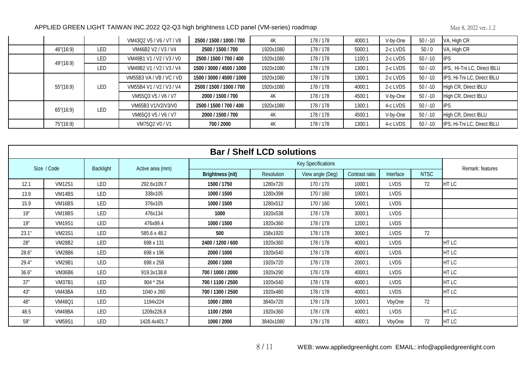|            |     | VM43Q2 V5 / V6 / V7 / V8 | 2500 / 1500 / 1000 / 700  | 4K        | 178/178 | 4000:1 | V-by-One | $50/ -10$ | VA, High CR                 |
|------------|-----|--------------------------|---------------------------|-----------|---------|--------|----------|-----------|-----------------------------|
| 46''(16:9) | LED | VM46B2 V2 / V3 / V4      | 2500 / 1500 / 700         | 1920x1080 | 178/178 | 5000:1 | 2-c LVDS | 50/0      | VA, High CR                 |
| 49"(16:9)  | LED | VM49B1 V1 / V2 / V3 / V0 | 2500 / 1500 / 700 / 400   | 1920x1080 | 178/178 | 1100:1 | 2-c LVDS | $50/ -10$ | <b>IPS</b>                  |
|            | LED | VM49B2 V1 / V2 / V3 / V4 | 1500 / 3000 / 4500 / 1000 | 1920x1080 | 178/178 | 1300:1 | 2-c LVDS | $50/ -10$ | IPS, Hi-Tni LC, Direct IBLU |
|            |     | VM55B3 VA / VB / VC / VD | 1500 / 3000 / 4500 / 1000 | 1920x1080 | 178/178 | 1300:1 | 2-c LVDS | $50/ -10$ | IPS, Hi-Tni LC, Direct IBLU |
| 55"(16:9)  | LED | VM55B4 V1 / V2 / V3 / V4 | 2500 / 1500 / 1000 / 700  | 1920x1080 | 178/178 | 4000:1 | 2-c LVDS | $50/ -10$ | High CR, Direct IBLU        |
|            |     | VM55Q3 V5 / V6 / V7      | 2000 / 1500 / 700         | 4K        | 178/178 | 4500:1 | V-by-One | $50/ -10$ | High CR, Direct IBLU        |
| 65''(16:9) | LED | VM65B3 V1/V2/V3/V0       | 2500 / 1500 / 700 / 400   | 1920x1080 | 178/178 | 1300:1 | 4-c LVDS | $50/ -10$ | <b>IIPS</b>                 |
|            |     | VM65Q3 V5 / V6 / V7      | 2000 / 1500 / 700         | 4K        | 178/178 | 4500:1 | V-by-One | $50/ -10$ | High CR, Direct IBLU        |
| 75"(16:9)  |     | VM75Q2 V0 / V1           | 700 / 2000                | 4K        | 178/178 | 1300:1 | 4-c LVDS | $50/ -10$ | IPS, Hi-Tni LC, Direct IBLU |

|       | <b>Bar / Shelf LCD solutions</b> |            |                  |                         |                   |                           |                |             |             |                  |  |  |  |
|-------|----------------------------------|------------|------------------|-------------------------|-------------------|---------------------------|----------------|-------------|-------------|------------------|--|--|--|
|       | Size / Code                      | Backlight  | Active area (mm) |                         |                   | <b>Key Specifications</b> |                |             |             | Remark: features |  |  |  |
|       |                                  |            |                  | <b>Brightness (nit)</b> | <b>Resolution</b> | View angle (Deg)          | Contrast ratio | Interface   | <b>NTSC</b> |                  |  |  |  |
| 12.1  | <b>VM12S1</b>                    | LED        | 292.6x109.7      | 1500 / 1750             | 1280x720          | 170/170                   | 1000:1         | <b>LVDS</b> | 72          | HT LC            |  |  |  |
| 13.9  | VM <sub>14</sub> BS              | LED        | 338x105          | 1000 / 1500             | 1280x398          | 170/160                   | 1000:1         | <b>LVDS</b> |             |                  |  |  |  |
| 15.9  | VM <sub>16</sub> BS              | LED        | 376x105          | 1000 / 1500             | 1280x512          | 170/160                   | 1000:1         | <b>LVDS</b> |             |                  |  |  |  |
| 19"   | VM <sub>19</sub> BS              | LED        | 476x134          | 1000                    | 1920x538          | 178/178                   | 3000:1         | <b>LVDS</b> |             |                  |  |  |  |
| 19"   | <b>VM19S1</b>                    | LED        | 476x89.4         | 1000 / 1500             | 1920x360          | 178/178                   | 1200:1         | <b>LVDS</b> |             |                  |  |  |  |
| 23.1" | <b>VM23S1</b>                    | LED        | 585.6 x 48.2     | 500                     | 158x1920          | 178/178                   | 3000:1         | <b>LVDS</b> | 72          |                  |  |  |  |
| 28"   | <b>VM28B2</b>                    | LED        | 698 x 131        | 2400 / 1200 / 600       | 1920x360          | 178/178                   | 4000:1         | <b>LVDS</b> |             | HT LC            |  |  |  |
| 28.6" | <b>VM28B6</b>                    | LED        | 698 x 196        | 2000 / 1000             | 1920x540          | 178/178                   | 4000:1         | <b>LVDS</b> |             | HT LC            |  |  |  |
| 29.4" | <b>VM29B1</b>                    | LED        | 698 x 258        | 2000 / 1000             | 1920x720          | 178/178                   | 2000:1         | <b>LVDS</b> |             | HT LC            |  |  |  |
| 36.6" | <b>VM36B6</b>                    | LED        | 919.3x138.8      | 700 / 1000 / 2000       | 1920x290          | 178/178                   | 4000:1         | <b>LVDS</b> |             | HT LC            |  |  |  |
| 37"   | <b>VM37B1</b>                    | LED        | 904 * 254        | 700 / 1100 / 2500       | 1920x540          | 178/178                   | 4000:1         | <b>LVDS</b> |             | HT LC            |  |  |  |
| 43"   | VM43BA                           | LED        | 1040 x 260       | 700 / 1300 / 2500       | 1920x480          | 178/178                   | 4000:1         | <b>LVDS</b> |             | HT LC            |  |  |  |
| 48"   | <b>VM48Q1</b>                    | LED        | 1194x224         | 1000 / 2000             | 3840x720          | 178/178                   | 1000:1         | VbyOne      | 72          |                  |  |  |  |
| 48.5  | VM49BA                           | <b>LED</b> | 1209x226.8       | 1100 / 2500             | 1920x360          | 178/178                   | 4000:1         | <b>LVDS</b> |             | HT LC            |  |  |  |
| 59"   | <b>VM59S1</b>                    | LED        | 1428.4x401.7     | 1000 / 2000             | 3840x1080         | 178/178                   | 4000:1         | VbyOne      | 72          | HT LC            |  |  |  |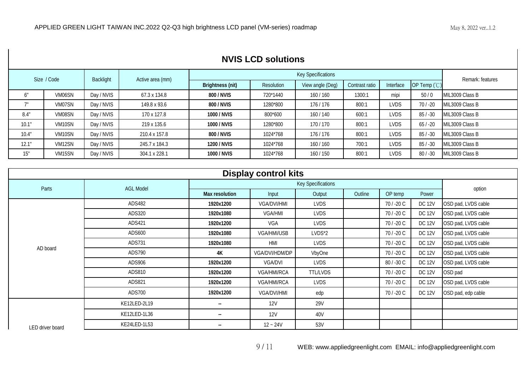|       | <b>NVIS LCD solutions</b> |            |                  |                         |                                                                               |                           |        |             |            |                  |  |  |
|-------|---------------------------|------------|------------------|-------------------------|-------------------------------------------------------------------------------|---------------------------|--------|-------------|------------|------------------|--|--|
|       | Size / Code               | Backlight  | Active area (mm) |                         |                                                                               | <b>Key Specifications</b> |        |             |            | Remark: features |  |  |
|       |                           |            |                  | <b>Brightness (nit)</b> | OP Temp (°C)<br>View angle (Deg)<br>Contrast ratio<br>Interface<br>Resolution |                           |        |             |            |                  |  |  |
| 6"    | VM06SN                    | Day / NVIS | 67.3 x 134.8     | 800 / NVIS              | 720*1440                                                                      | 160/160                   | 1300:1 | mipi        | 50/0       | MIL3009 Class B  |  |  |
|       | VM07SN                    | Day / NVIS | 149.8 x 93.6     | 800 / NVIS              | 1280*800                                                                      | 176/176                   | 800:1  | <b>LVDS</b> | $70/ -20$  | MIL3009 Class B  |  |  |
| 8.4"  | VM08SN                    | Day / NVIS | 170 x 127.8      | 1000 / NVIS             | 800*600                                                                       | 160/140                   | 600:1  | LVDS        | $85/ - 30$ | MIL3009 Class B  |  |  |
| 10.1" | VM10SN                    | Day / NVIS | 219 x 135.6      | 1000 / NVIS             | 1280*800                                                                      | 170/170                   | 800:1  | LVDS        | $65/ -20$  | MIL3009 Class B  |  |  |
| 10.4" | VM10SN                    | Day / NVIS | 210.4 x 157.8    | 800 / NVIS              | 1024*768                                                                      | 176/176                   | 800:1  | <b>LVDS</b> | $85/ - 30$ | MIL3009 Class B  |  |  |
| 12.1" | VM12SN                    | Day / NVIS | 245.7 x 184.3    | 1200 / NVIS             | 1024*768                                                                      | 160/160                   | 700:1  | <b>LVDS</b> | $85/ - 30$ | MIL3009 Class B  |  |  |
| 15"   | VM <sub>15SN</sub>        | Day / NVIS | 304.1 x 228.1    | 1000 / NVIS             | 1024*768                                                                      | 160/150                   | 800:1  | LVDS.       | $80/ - 30$ | MIL3009 Class B  |  |  |

| <b>Display control kits</b> |                  |                       |                    |                           |         |            |               |                     |  |  |  |  |
|-----------------------------|------------------|-----------------------|--------------------|---------------------------|---------|------------|---------------|---------------------|--|--|--|--|
| Parts                       | <b>AGL Model</b> |                       |                    | <b>Key Specifications</b> |         |            |               | option              |  |  |  |  |
|                             |                  | <b>Max resolution</b> | Input              | Output                    | Outline | OP temp    | Power         |                     |  |  |  |  |
|                             | ADS482           | 1920x1200             | <b>VGA/DVI/HMI</b> | <b>LVDS</b>               |         | 70 / -20 C | <b>DC 12V</b> | OSD pad, LVDS cable |  |  |  |  |
|                             | ADS320           | 1920x1080             | <b>VGA/HMI</b>     | <b>LVDS</b>               |         | 70/-20 C   | <b>DC 12V</b> | OSD pad, LVDS cable |  |  |  |  |
|                             | ADS421           | 1920x1200             | VGA                | <b>LVDS</b>               |         | 70 / -20 C | <b>DC 12V</b> | OSD pad, LVDS cable |  |  |  |  |
|                             | ADS600           | 1920x1080             | <b>VGA/HMI/USB</b> | LVDS*2                    |         | 70/-20 C   | <b>DC 12V</b> | OSD pad, LVDS cable |  |  |  |  |
|                             | ADS731           | 1920x1080             | <b>HMI</b>         | <b>LVDS</b>               |         | 70/-20 C   | <b>DC 12V</b> | OSD pad, LVDS cable |  |  |  |  |
| AD board                    | ADS790           | 4K                    | VGA/DVI/HDM/DP     | VbyOne                    |         | 70 / -20 C | <b>DC 12V</b> | OSD pad, LVDS cable |  |  |  |  |
|                             | ADS906           | 1920x1200             | VGA/DVI            | <b>LVDS</b>               |         | 80 / -30 C | <b>DC 12V</b> | OSD pad, LVDS cable |  |  |  |  |
|                             | ADS810           | 1920x1200             | VGA/HMI/RCA        | <b>TTL/LVDS</b>           |         | 70 / -20 C | <b>DC 12V</b> | OSD pad             |  |  |  |  |
|                             | ADS821           | 1920x1200             | VGA/HMI/RCA        | <b>LVDS</b>               |         | 70 / -20 C | <b>DC 12V</b> | OSD pad, LVDS cable |  |  |  |  |
|                             | ADS700           | 1920x1200             | <b>VGA/DVI/HMI</b> | edp                       |         | 70/-20 C   | <b>DC 12V</b> | OSD pad, edp cable  |  |  |  |  |
|                             | KE12LED-2L19     | $\sim$                | 12V                | 29V                       |         |            |               |                     |  |  |  |  |
|                             | KE12LED-1L36     | --                    | <b>12V</b>         | 40V                       |         |            |               |                     |  |  |  |  |
| LED driver board            | KE24LED-1L53     | $\sim$                | $12 - 24V$         | 53V                       |         |            |               |                     |  |  |  |  |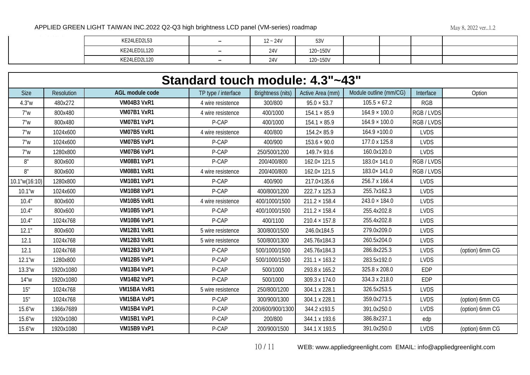| the control of the state of the | KE24LED2L53        | <b>STATE</b> | $12 - 24V$ | 53V      |  |  |
|---------------------------------|--------------------|--------------|------------|----------|--|--|
|                                 | KE24LED1L120       | <b>STATE</b> | 24V        | 120~150V |  |  |
|                                 | 21.501320<br>– LZI | <b>STATE</b> | 24V        | 120~150V |  |  |

| Standard touch module: 4.3"~43" |                   |                    |                     |                   |                      |                        |             |                 |  |  |  |
|---------------------------------|-------------------|--------------------|---------------------|-------------------|----------------------|------------------------|-------------|-----------------|--|--|--|
| <b>Size</b>                     | <b>Resolution</b> | AGL module code    | TP type / interface | Brightness (nits) | Active Area (mm)     | Module outline (mm/CG) | Interface   | Option          |  |  |  |
| 4.3"w                           | 480x272           | VM04B3 VxR1        | 4 wire resistence   | 300/800           | $95.0 \times 53.7$   | $105.5 \times 67.2$    | <b>RGB</b>  |                 |  |  |  |
| 7"w                             | 800x480           | VM07B1 VxR1        | 4 wire resistence   | 400/1000          | $154.1 \times 85.9$  | $164.9 \times 100.0$   | RGB/LVDS    |                 |  |  |  |
| 7"w                             | 800x480           | VM07B1 VxP1        | P-CAP               | 400/1000          | $154.1 \times 85.9$  | $164.9 \times 100.0$   | RGB/LVDS    |                 |  |  |  |
| 7"w                             | 1024x600          | VM07B5 VxR1        | 4 wire resistence   | 400/800           | $154.2 \times 85.9$  | $164.9 \times 100.0$   | <b>LVDS</b> |                 |  |  |  |
| 7"w                             | 1024x600          | VM07B5 VxP1        | P-CAP               | 400/900           | $153.6 \times 90.0$  | 177.0 x 125.8          | <b>LVDS</b> |                 |  |  |  |
| 7"w                             | 1280x800          | VM07B6 VxP1        | P-CAP               | 250/500/1200      | $149.7 \times 93.6$  | 160.0x120.0            | <b>LVDS</b> |                 |  |  |  |
| 8"                              | 800x600           | VM08B1 VxP1        | P-CAP               | 200/400/800       | $162.0 \times 121.5$ | 183.0×141.0            | RGB / LVDS  |                 |  |  |  |
| 8"                              | 800x600           | VM08B1 VxR1        | 4 wire resistence   | 200/400/800       | 162.0×121.5          | 183.0×141.0            | RGB/LVDS    |                 |  |  |  |
| $10.1$ "w $(16:10)$             | 1280x800          | VM10B1 VxP1        | P-CAP               | 400/900           | 217.0×135.6          | 256.7 x 166.4          | <b>LVDS</b> |                 |  |  |  |
| 10.1"w                          | 1024x600          | VM10B8 VxP1        | P-CAP               | 400/800/1200      | 222.7 x 125.3        | 255.7x162.3            | <b>LVDS</b> |                 |  |  |  |
| 10.4"                           | 800x600           | VM10B5 VxR1        | 4 wire resistence   | 400/1000/1500     | $211.2 \times 158.4$ | $243.0 \times 184.0$   | <b>LVDS</b> |                 |  |  |  |
| 10.4"                           | 800x600           | <b>VM10B5 VxP1</b> | P-CAP               | 400/1000/1500     | $211.2 \times 158.4$ | 255.4x202.8            | <b>LVDS</b> |                 |  |  |  |
| 10.4"                           | 1024x768          | VM10B6 VxP1        | P-CAP               | 400/1100          | $210.4 \times 157.8$ | 255.4x202.8            | <b>LVDS</b> |                 |  |  |  |
| 12.1"                           | 800x600           | <b>VM12B1 VxR1</b> | 5 wire resistence   | 300/800/1500      | 246.0x184.5          | 279.0x209.0            | <b>LVDS</b> |                 |  |  |  |
| 12.1                            | 1024x768          | VM12B3 VxR1        | 5 wire resistence   | 500/800/1300      | 245.76x184.3         | 260.5x204.0            | <b>LVDS</b> |                 |  |  |  |
| 12.1                            | 1024x768          | <b>VM12B3 VxP1</b> | P-CAP               | 500/1000/1500     | 245.76x184.3         | 286.8x225.3            | <b>LVDS</b> | (option) 6mm CG |  |  |  |
| 12.1"w                          | 1280x800          | <b>VM12B5 VxP1</b> | P-CAP               | 500/1000/1500     | $231.1 \times 163.2$ | 283.5x192.0            | <b>LVDS</b> |                 |  |  |  |
| 13.3"w                          | 1920x1080         | VM13B4 VxP1        | P-CAP               | 500/1000          | 293.8 x 165.2        | 325.8 x 208.0          | <b>EDP</b>  |                 |  |  |  |
| 14"w                            | 1920x1080         | VM14B2 VxP1        | P-CAP               | 500/1000          | 309.3 x 174.0        | 334.3 x 218.0          | <b>EDP</b>  |                 |  |  |  |
| 15"                             | 1024x768          | VM15BA VxR1        | 5 wire resistence   | 250/800/1200      | 304.1 x 228.1        | 326.5x253.5            | <b>LVDS</b> |                 |  |  |  |
| 15"                             | 1024x768          | VM15BA VxP1        | P-CAP               | 300/900/1300      | 304.1 x 228.1        | 359.0x273.5            | <b>LVDS</b> | (option) 6mm CG |  |  |  |
| 15.6"w                          | 1366x7689         | VM15B4 VxP1        | P-CAP               | 200/600/900/1300  | 344.2 x193.5         | 391.0x250.0            | <b>LVDS</b> | (option) 6mm CG |  |  |  |
| 15.6"w                          | 1920x1080         | VM15B1 VxP1        | P-CAP               | 200/800           | 344.1 x 193.6        | 386.8x237.1            | edp         |                 |  |  |  |
| 15.6"w                          | 1920x1080         | <b>VM15B9 VxP1</b> | P-CAP               | 200/900/1500      | 344.1 X 193.5        | 391.0x250.0            | <b>LVDS</b> | (option) 6mm CG |  |  |  |

10 / 11 WEB: www.appliedgreenlight.com EMAIL: info@appliedgreenlight.com